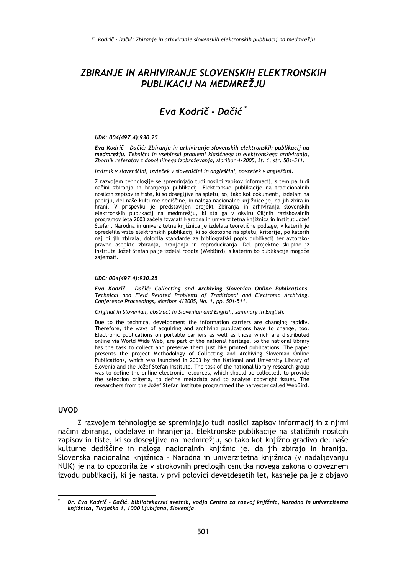# ZBIRANJE IN ARHIVIRANJE SLOVENSKIH ELEKTRONSKIH PUBLIKACIJ NA MEDMREŽJU

# Eva Kodrič - Dačić\*

#### UDK: 004(497.4):930.25

Eva Kodrič - Dačić: Zbiranie in arhiviranie slovenskih elektronskih publikacii na medmrežju. Tehnični in vsebinski problemi klasičnega in elektronskega arhiviranja, Zbornik referatov z dopolnilnega izobraževanja, Maribor 4/2005, št. 1, str. 501-511.

Izvirnik v slovenščini, izvleček v slovenščini in angleščini, povzetek v angleščini.

Z razvojem tehnologije se spreminjajo tudi nosilci zapisov informacij, s tem pa tudi načini zbiranja in hranjenja publikacij. Elektronske publikacije na tradicionalnih nosilcih zapisov in tiste, ki so dosegljive na spletu, so, tako kot dokumenti, izdelani na papirju, del naše kulturne dediščine, in naloga nacionalne knjižnice je, da jih zbira in hrani. V prispevku je predstavljen projekt Zbiranja in arhiviranja slovenskih elektronskih publikacij na medmrežju, ki sta ga v okviru Ciljnih raziskovalnih programov leta 2003 začela izvajati Narodna in univerzitetna knjižnica in Institut Jožef Stefan. Narodna in univerzitetna knjižnica je izdelala teoretične podlage, v katerih je opredelila vrste elektronskih publikacij, ki so dostopne na spletu, kriterije, po katerih naj bi jih zbirala, določila standarde za bibliografski popis publikacij ter avtorskopravne aspekte zbiranja, hranjenja in reproduciranja. Del projektne skupine iz Instituta Jožef Stefan pa je izdelal robota (WebBird), s katerim bo publikacije mogoče zajemati.

#### UDC: 004(497.4):930.25

Eva Kodrič - Dačić: Collecting and Archiving Slovenian Online Publications. Technical and Field Related Problems of Traditional and Electronic Archiving. Conference Proceedings, Maribor 4/2005, No. 1, pp. 501-511.

Original in Slovenian, abstract in Slovenian and English, summary in English.

Due to the technical development the information carriers are changing rapidly. Therefore, the ways of acquiring and archiving publications have to change, too. Electronic publications on portable carriers as well as those which are distributed online via World Wide Web, are part of the national heritage. So the national library has the task to collect and preserve them just like printed publications. The paper presents the project Methodology of Collecting and Archiving Slovenian Online Publications, which was launched in 2003 by the National and University Library of Slovenia and the Jožef Stefan Institute. The task of the national library research group was to define the online electronic resources, which should be collected, to provide the selection criteria, to define metadata and to analyse copyright issues. The researchers from the Jožef Stefan Institute programmed the harvester called WebBird.

#### **UVOD**

Z razvojem tehnologije se spreminjajo tudi nosilci zapisov informacij in z njimi načini zbiranja, obdelave in hranjenja. Elektronske publikacije na statičnih nosilcih zapisov in tiste, ki so dosegljive na medmrežju, so tako kot knjižno gradivo del naše kulturne dediščine in naloga nacionalnih knjižnic je, da jih zbirajo in hranijo. Slovenska nacionalna knjižnica - Narodna in univerzitetna knjižnica (v nadaljevanju NUK) je na to opozorila že v strokovnih predlogih osnutka novega zakona o obveznem izvodu publikacii, ki je nastal v prvi polovici devetdesetih let, kasneje pa je z objavo

Dr. Eva Kodrič - Dačić, bibliotekarski svetnik, vodja Centra za razvoj knjižnic, Narodna in univerzitetna knjižnica, Turjaška 1, 1000 Ljubljana, Slovenija.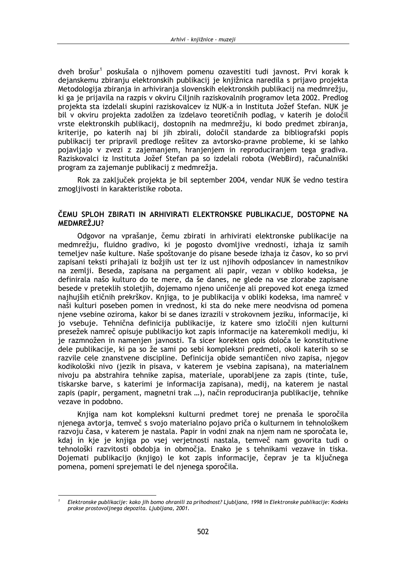dveh brošur<sup>1</sup> poskušala o nijhovem pomenu ozavestiti tudi javnost. Prvi korak k dejanskemu zbiranju elektronskih publikacij je knjižnica naredila s prijavo projekta Metodologija zbiranja in arhiviranja slovenskih elektronskih publikacij na medmrežiu, ki ga je prijavila na razpis v okviru Ciljnih raziskovalnih programov leta 2002. Predlog projekta sta izdelali skupini raziskovalcev iz NUK-a in Instituta Jožef Stefan. NUK je bil v okviru projekta zadolžen za izdelavo teoretičnih podlag, v katerih je določil vrste elektronskih publikacij, dostopnih na medmrežju, ki bodo predmet zbiranja, kriterije, po katerih naj bi jih zbirali, določil standarde za bibliografski popis publikacij ter pripravil predloge rešitev za avtorsko-pravne probleme, ki se lahko pojavljajo v zvezi z zajemanjem, hranjenjem in reproduciranjem tega gradiva. Raziskovalci iz Instituta Jožef Stefan pa so izdelali robota (WebBird), računalniški program za zajemanje publikacij z medmrežja.

Rok za zaključek projekta je bil september 2004, vendar NUK še vedno testira zmogljivosti in karakteristike robota.

### ČEMU SPLOH ZBIRATI IN ARHIVIRATI ELEKTRONSKE PUBLIKACIJE, DOSTOPNE NA MEDMREŽJU?

Odgovor na vprašanje, čemu zbirati in arhivirati elektronske publikacije na medmrežju, fluidno gradivo, ki je pogosto dvomljive vrednosti, izhaja iz samih temeljev naše kulture. Naše spoštovanje do pisane besede izhaja iz časov, ko so prvi zapisani teksti prihajali iz božjih ust ter iz ust njihovih odposlancev in namestnikov na zemlji. Beseda, zapisana na pergament ali papir, vezan v obliko kodeksa, je definirala našo kulturo do te mere, da še danes, ne glede na vse zlorabe zapisane besede v preteklih stoletjih, dojemamo njeno uničenje ali prepoved kot enega izmed najhujših etičnih prekrškov. Knjiga, to je publikacija v obliki kodeksa, ima namreč v naši kulturi poseben pomen in vrednost, ki sta do neke mere neodvisna od pomena njene vsebine oziroma, kakor bi se danes izrazili v strokovnem jeziku, informacije, ki jo vsebuje. Tehnična definicija publikacije, iz katere smo izločili njen kulturni presežek namreč opisuje publikacijo kot zapis informacije na kateremkoli mediju, ki je razmnožen in namenjen javnosti. Ta sicer korekten opis določa le konstitutivne dele publikacije, ki pa so že sami po sebi kompleksni predmeti, okoli katerih so se razvile cele znanstvene discipline. Definicija obide semantičen nivo zapisa, njegov kodikološki nivo (jezik in pisava, v katerem je vsebina zapisana), na materialnem nivoju pa abstrahira tehnike zapisa, materiale, uporabljene za zapis (tinte, tuše, tiskarske barve, s katerimi je informacija zapisana), medij, na katerem je nastal zapis (papir, pergament, magnetni trak ...), način reproduciranja publikacije, tehnike vezave in podobno.

Knjiga nam kot kompleksni kulturni predmet torej ne prenaša le sporočila njenega avtorja, temveč s svojo materialno pojavo priča o kulturnem in tehnološkem razvoju časa, v katerem je nastala. Papir in vodni znak na njem nam ne sporočata le, kdaj in kje je knjiga po vsej verjetnosti nastala, temveč nam govorita tudi o tehnološki razvitosti obdobja in območja. Enako je s tehnikami vezave in tiska. Dojemati publikacijo (knjigo) le kot zapis informacije, čeprav je ta ključnega pomena, pomeni sprejemati le del njenega sporočila.

Elektronske publikacije: kako jih bomo ohranili za prihodnost? Ljubljana, 1998 in Elektronske publikacije: Kodeks prakse prostovoljnega depozita. Ljubljana, 2001.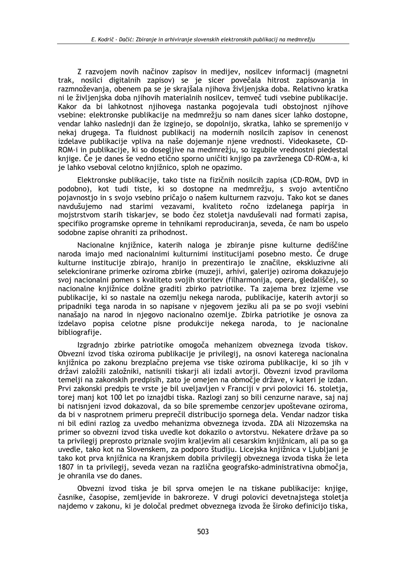Z razvojem novih načinov zapisov in medijev, nosilcev informacij (magnetni trak, nosilci digitalnih zapisov) se je sicer povečala hitrost zapisovanja in razmnoževanja, obenem pa se je skrajšala njihova življenjska doba. Relativno kratka ni le življenjska doba njihovih materialnih nosilcev, temveč tudi vsebine publikacije. Kakor da bi lahkotnost njihovega nastanka pogojevala tudi obstojnost njihove vsebine: elektronske publikacije na medmrežju so nam danes sicer lahko dostopne, vendar lahko naslednij dan že izginejo, se dopolnijo, skratka, lahko se spremenijo v nekaj drugega. Ta fluidnost publikacij na modernih nosilcih zapisov in cenenost izdelave publikacije vpliva na naše dojemanje njene vrednosti. Videokasete, CD-ROM-i in publikacije, ki so dosegljive na medmrežju, so izgubile vrednostni piedestal knjige. Če je danes še vedno etično sporno uničiti knjigo pa zavrženega CD-ROM-a, ki je lahko vseboval celotno knjižnico, sploh ne opazimo.

Elektronske publikacije, tako tiste na fizičnih nosilcih zapisa (CD-ROM, DVD in podobno), kot tudi tiste, ki so dostopne na medmrežju, s svojo avtentično pojavnostio in s svojo vsebino pričajo o našem kulturnem razvoju. Tako kot se danes navdušujemo nad starimi vezavami, kvaliteto ročno izdelanega papirja in mojstrstvom starih tiskarjev, se bodo čez stoletja navduševali nad formati zapisa, specifiko programske opreme in tehnikami reproduciranja, seveda, če nam bo uspelo sodobne zapise ohraniti za prihodnost.

Nacionalne knjižnice, katerih naloga je zbiranje pisne kulturne dediščine naroda imajo med nacionalnimi kulturnimi institucijami posebno mesto. Če druge kulturne institucije zbirajo, hranijo in prezentirajo le značilne, ekskluzivne ali selekcionirane primerke oziroma zbirke (muzeji, arhivi, galerije) oziroma dokazujejo svoj nacionalni pomen s kvaliteto svojih storitev (filharmonija, opera, gledališče), so nacionalne knjižnice dolžne graditi zbirko patriotike. Ta zajema brez izjeme vse publikacije, ki so nastale na ozemlju nekega naroda, publikacije, katerih avtoriji so pripadniki tega naroda in so napisane v njegovem jeziku ali pa se po svoji vsebini nanašajo na narod in njegovo nacionalno ozemlje. Zbirka patriotike je osnova za izdelavo popisa celotne pisne produkcije nekega naroda, to je nacionalne bibliografiie.

Izgradnjo zbirke patriotike omogoča mehanizem obveznega izvoda tiskov. Obvezni izvod tiska oziroma publikacije je privilegij, na osnovi katerega nacionalna kniižnica po zakonu brezplačno prejema vse tiske oziroma publikacije, ki so jih v državi založili založniki, natisnili tiskarii ali izdali avtorii. Obvezni izvod praviloma temelji na zakonskih predpisih, zato je omejen na območje države, v kateri je izdan. Prvi zakonski predpis te vrste je bil uveljavljen v Franciji v prvi polovici 16. stoletja, torej manj kot 100 let po iznajdbi tiska. Razlogi zanj so bili cenzurne narave, saj naj bi natisnjeni izvod dokazoval, da so bile spremembe cenzorjev upoštevane oziroma, da bi v nasprotnem primeru preprečil distribucijo spornega dela. Vendar nadzor tiska ni bil edini razlog za uvedbo mehanizma obveznega izvoda. ZDA ali Nizozemska na primer so obvezni izvod tiska uvedle kot dokazilo o avtorstvu. Nekatere države pa so ta privilegij preprosto priznale svojim kraljevim ali cesarskim knjižnicam, ali pa so ga uvedle, tako kot na Slovenskem, za podporo študiju. Licejska knjižnica v Ljubljani je tako kot prva knjižnica na Kranjskem dobila privilegij obveznega izvoda tiska že leta 1807 in ta privilegij, seveda vezan na različna geografsko-administrativna območja, je ohranila vse do danes.

Obvezni izvod tiska je bil sprva omejen le na tiskane publikacije: knjige, časnike, časopise, zemljevide in bakroreze. V drugi polovici devetnajstega stoletja najdemo v zakonu, ki je določal predmet obveznega izvoda že široko definicijo tiska,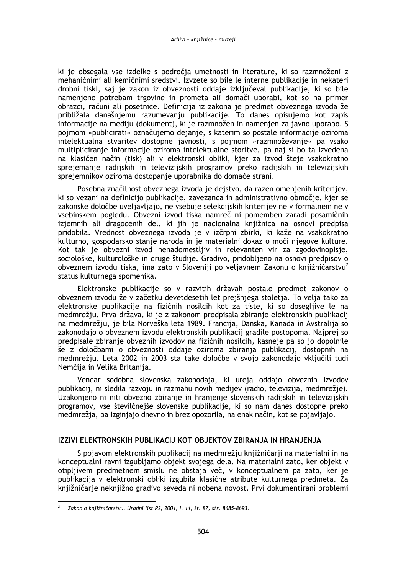ki je obsegala vse izdelke s področja umetnosti in literature, ki so razmnoženi z mehaničnimi ali kemičnimi sredstvi. Izvzete so bile le interne publikacije in nekateri drobni tiski, saj je zakon iz obveznosti oddaje izključeval publikacije, ki so bile namenjene potrebam trgovine in prometa ali domači uporabi, kot so na primer obrazci, računi ali posetnice. Definicija iz zakona je predmet obveznega izvoda že približala današnjemu razumevanju publikacije. To danes opisujemo kot zapis informacije na mediju (dokument), ki je razmnožen in namenjen za javno uporabo. S pojmom »publicirati« označujemo dejanje, s katerim so postale informacije oziroma intelektualna stvaritev dostopne javnosti, s pojmom »razmnoževanje« pa vsako multipliciranje informacije oziroma intelektualne storitve, pa naj si bo ta izvedena na klasičen način (tisk) ali v elektronski obliki, kjer za izvod šteje vsakokratno sprejemanje radijskih in televizijskih programov preko radijskih in televizijskih sprejemnikov oziroma dostopanje uporabnika do domače strani.

Posebna značilnost obveznega izvoda je dejstvo, da razen omenjenih kriterijev, ki so vezani na definicijo publikacije, zavezanca in administrativno območje, kjer se zakonske določbe uveliavliajo, ne vsebuje selekcijskih kriterijev ne v formalnem ne v vsebinskem pogledu. Obvezni izvod tiska namreč ni pomemben zaradi posamičnih izjemnih ali dragocenih del, ki jih je nacionalna knjižnica na osnovi predpisa pridobila. Vrednost obveznega izvoda je v izčrpni zbirki, ki kaže na vsakokratno kulturno, gospodarsko stanje naroda in je materialni dokaz o moči njegove kulture. Kot tak je obvezni izvod nenadomestljiv in relevanten vir za zgodovinopisje, sociološke, kulturološke in druge študije. Gradivo, pridobljeno na osnovi predpisov o obveznem izvodu tiska, ima zato v Sloveniji po veljavnem Zakonu o knjižničarstvu<sup>2</sup> status kulturnega spomenika.

Elektronske publikacije so v razvitih državah postale predmet zakonov o obveznem izvodu že v začetku devetdesetih let prejšnjega stoletja. To velja tako za elektronske publikacije na fizičnih nosilcih kot za tiste, ki so dosegljive le na medmrežju. Prva država, ki je z zakonom predpisala zbiranje elektronskih publikacij na medmrežju, je bila Norveška leta 1989. Francija, Danska, Kanada in Avstralija so zakonodajo o obveznem izvodu elektronskih publikacij gradile postopoma. Najprej so predpisale zbiranie obveznih izvodov na fizičnih nosilcih, kasneje pa so jo dopolnile še z določbami o obveznosti oddaje oziroma zbiranja publikacij, dostopnih na medmrežju. Leta 2002 in 2003 sta take določbe v svojo zakonodajo vključili tudi Nemčija in Velika Britanija.

Vendar sodobna slovenska zakonodaja, ki ureja oddajo obveznih izvodov publikacij, ni sledila razvoju in razmahu novih medijev (radio, televizija, medmrežje). Uzakonjeno ni niti obvezno zbiranje in hranjenje slovenskih radijskih in televizijskih programov, vse številčnejše slovenske publikacije, ki so nam danes dostopne preko medmrežja, pa izginjajo dnevno in brez opozorila, na enak način, kot se pojavljajo.

### **IZZIVI ELEKTRONSKIH PUBLIKACIJ KOT OBJEKTOV ZBIRANJA IN HRANJENJA**

S pojavom elektronskih publikacij na medmrežju kniižničarii na materialni in na konceptualni ravni izgubljamo objekt svojega dela. Na materialni zato, ker objekt v otipljivem predmetnem smislu ne obstaja več, v konceptualnem pa zato, ker je publikacija v elektronski obliki izgubila klasične atribute kulturnega predmeta. Za knjižničarje neknjižno gradivo seveda ni nobena novost. Prvi dokumentirani problemi

 $\overline{2}$ Zakon o knjižničarstvu. Uradni list RS, 2001, l. 11, št. 87, str. 8685-8693.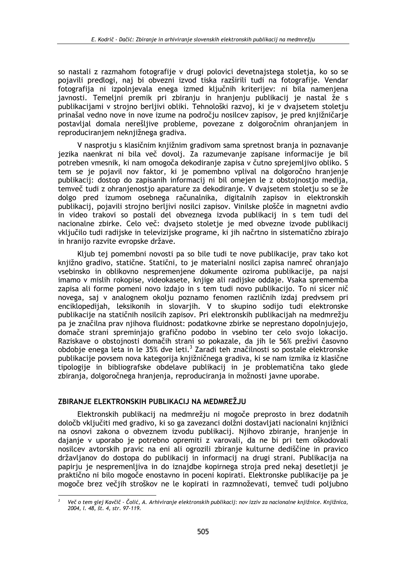so nastali z razmahom fotografije v drugi polovici devetnajstega stoletia, ko so se pojavili predlogi, naj bi obvezni izvod tiska razširili tudi na fotografije. Vendar fotografija ni izpolnjevala enega izmed ključnih kriterijev: ni bila namenjena javnosti. Temeljni premik pri zbiranju in hranjenju publikacij je nastal že s publikacijami v strojno berljivi obliki. Tehnološki razvoj, ki je v dvajsetem stoletju prinašal vedno nove in nove izume na področju nosilcev zapisov, je pred knjižničarje postavlial domala nerešlijve probleme, povezane z dolgoročnim ohranjanjem in reproduciranjem neknjižnega gradiva.

V nasprotju s klasičnim knjižnim gradivom sama spretnost branja in poznavanje jezika naenkrat ni bila več dovolj. Za razumevanje zapisane informacije je bil potreben vmesnik, ki nam omogoča dekodiranje zapisa v čutno sprejemljivo obliko. S tem se je pojavil nov faktor, ki je pomembno vplival na dolgoročno hranjenje publikacij: dostop do zapisanih informacij ni bil omejen le z obstojnostjo medija, temveč tudi z ohranjenostjo aparature za dekodiranje. V dvajsetem stoletju so se že dolgo pred izumom osebnega računalnika, digitalnih zapisov in elektronskih publikacij, pojavili strojno berljivi nosilci zapisov. Vinilske plošče in magnetni avdio in video trakovi so postali del obveznega izvoda publikacij in s tem tudi del nacionalne zbirke. Celo več: dvajseto stoletje je med obvezne izvode publikacij vključilo tudi radijske in televizijske programe, ki jih načrtno in sistematično zbirajo in hranijo razvite evropske države.

Kljub tej pomembni novosti pa so bile tudi te nove publikacije, prav tako kot knjižno gradivo, statične. Statični, to je materialni nosilci zapisa namreč ohranjajo vsebinsko in oblikovno nespremenjene dokumente oziroma publikacije, pa najsi imamo v mislih rokopise, videokasete, knjige ali radijske oddaje. Vsaka sprememba zapisa ali forme pomeni novo izdajo in s tem tudi novo publikacijo. To ni sicer nič novega, saj v analognem okolju poznamo fenomen različnih izdaj predvsem pri enciklopedijah, leksikonih in slovarjih. V to skupino sodijo tudi elektronske publikacije na statičnih nosilcih zapisov. Pri elektronskih publikacijah na medmrežju pa je značilna prav nijhova fluidnost: podatkovne zbirke se neprestano dopolniujejo, domače strani spreminiajo grafično podobo in vsebino ter celo svojo lokacijo. Raziskave o obstojnosti domačih strani so pokazale, da jih le 56% preživi časovno obdobie enega leta in le 35% dve leti.<sup>3</sup> Zaradi teh značilnosti so postale elektronske publikacije povsem nova kategorija knjižničnega gradiva, ki se nam izmika iz klasične tipologije in bibliografske obdelave publikacij in je problematična tako glede zbiranja, dolgoročnega hranjenja, reproduciranja in možnosti javne uporabe.

### ZBIRANJE ELEKTRONSKIH PUBLIKACIJ NA MEDMREŽJU

Elektronskih publikacij na medmrežju ni mogoče preprosto in brez dodatnih določb vključiti med gradivo, ki so ga zavezanci dolžni dostavljati nacionalni knjižnici na osnovi zakona o obveznem izvodu publikacij. Njihovo zbiranje, hranjenje in dajanje v uporabo je potrebno opremiti z varovali, da ne bi pri tem oškodovali nosilcev avtorskih pravic na eni ali ogrozili zbiranje kulturne dediščine in pravico državljanov do dostopa do publikacij in informacij na drugi strani. Publikacija na papiriu je nespremenlijva in do iznajdbe kopirnega stroja pred nekaj desetletij je praktično ni bilo mogoče enostavno in poceni kopirati. Elektronske publikacije pa je mogoče brez večjih stroškov ne le kopirati in razmnoževati, temveč tudi poljubno

Več o tem glej Kavčič - Čolić, A. Arhiviranje elektronskih publikacij: nov izziv za nacionalne knjižnice. Knjižnica, 2004, l. 48, št. 4, str. 97-119.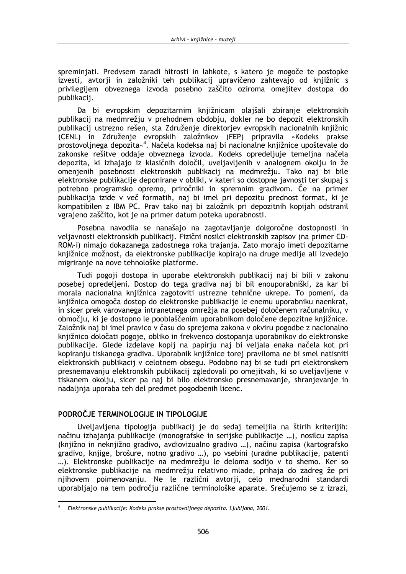spreminiati. Predvsem zaradi hitrosti in lahkote, s katero je mogoče te postopke izvesti, avtorii in založniki teh publikacii upravičeno zahtevajo od kniižnic s privilegijem obveznega izvoda posebno zaščito oziroma omejitev dostopa do publikacij.

Da bi evropskim depozitarnim knjižnicam olajšali zbiranje elektronskih publikacij na medmrežju v prehodnem obdobju, dokler ne bo depozit elektronskih publikacij ustrezno rešen, sta Združenje direktorjev evropskih nacionalnih knjižnic (CENL) in Združenje evropskih založnikov (FEP) pripravila »Kodeks prakse prostovoljnega depozita«<sup>4</sup>. Načela kodeksa naj bi nacionalne knjižnice upoštevale do zakonske rešitve oddaje obveznega izvoda. Kodeks opredeljuje temeljna načela depozita, ki izhajajo iz klasičnih določil, uveljavljenih v analognem okolju in že omenjenih posebnosti elektronskih publikacij na medmrežju. Tako naj bi bile elektronske publikacije deponirane v obliki, v kateri so dostopne javnosti ter skupaj s potrebno programsko opremo, priročniki in spremnim gradivom. Če na primer publikacija izide v več formatih, naj bi imel pri depozitu prednost format, ki je kompatibilen z IBM PC. Prav tako naj bi založnik pri depozitnih kopijah odstranil vgrajeno zaščito, kot je na primer datum poteka uporabnosti.

Posebna navodila se nanašajo na zagotavljanje dolgoročne dostopnosti in veljavnosti elektronskih publikacij. Fizični nosilci elektronskih zapisov (na primer CD-ROM-i) nimajo dokazanega zadostnega roka trajanja. Zato morajo imeti depozitarne knjižnice možnost, da elektronske publikacije kopirajo na druge medije ali izvedejo migriranje na nove tehnološke platforme.

Tudi pogoji dostopa in uporabe elektronskih publikacij naj bi bili v zakonu posebej opredeljeni. Dostop do tega gradiva naj bi bil enouporabniški, za kar bi morala nacionalna kniižnica zagotoviti ustrezne tehnične ukrepe. To pomeni, da knjižnica omogoča dostop do elektronske publikacije le enemu uporabniku naenkrat, in sicer prek varovanega intranetnega omrežja na posebej določenem računalniku, v območiu, ki je dostopno le pooblaščenim uporabnikom določene depozitne kniižnice. Založnik naj bi imel pravico v času do sprejema zakona v okviru pogodbe z nacionalno knijžnico določati pogoje, obliko in frekvenco dostopania uporabnikov do elektronske publikaciie. Glede izdelave kopij na papirju naj bi veljala enaka načela kot pri kopiranju tiskanega gradiva. Uporabnik knjižnice torej praviloma ne bi smel natisniti elektronskih publikacij v celotnem obsegu. Podobno naj bi se tudi pri elektronskem presnemavanju elektronskih publikacij zgledovali po omejitvah, ki so uveljavljene v tiskanem okolju, sicer pa naj bi bilo elektronsko presnemavanje, shranjevanje in nadaljnja uporaba teh del predmet pogodbenih licenc.

# PODROČJE TERMINOLOGIJE IN TIPOLOGIJE

Uveljavljena tipologija publikacij je do sedaj temeljila na štirih kriterijih: načinu izhajanja publikacije (monografske in serijske publikacije ...), nosilcu zapisa (knjižno in neknjižno gradivo, avdiovizualno gradivo ...), načinu zapisa (kartografsko gradivo, knjige, brošure, notno gradivo ...), po vsebini (uradne publikacije, patenti ...). Elektronske publikacije na medmrežju le deloma sodijo v to shemo. Ker so elektronske publikacije na medmrežju relativno mlade, prihaja do zadreg že pri njihovem poimenovanju. Ne le različni avtorji, celo mednarodni standardi uporabljajo na tem področju različne terminološke aparate. Srečujemo se z izrazi,

Elektronske publikacije: Kodeks prakse prostovoljnega depozita. Ljubljana, 2001.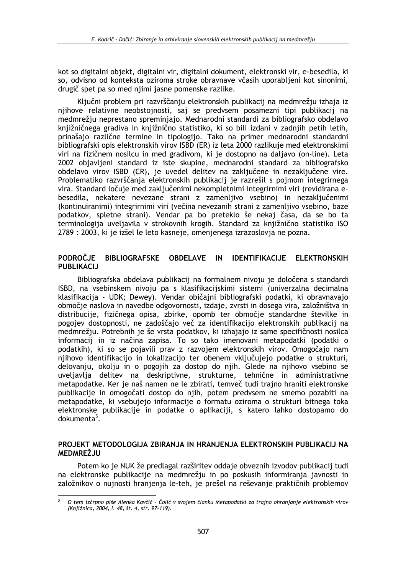kot so digitalni objekt, digitalni vir, digitalni dokument, elektronski vir, e-besedila, ki so. odvisno od konteksta oziroma stroke obravnave včasih uporabljeni kot sinonimi, drugič spet pa so med nijmi jasne pomenske razlike.

Kliučni problem pri razvrščaniu elektronskih publikacii na medmrežiu izhaja iz njihove relativne neobstojnosti, saj se predvsem posamezni tipi publikacij na medmrežju neprestano spreminjajo. Mednarodni standardi za bibliografsko obdelavo knjižničnega gradiva in knjižnično statistiko, ki so bili izdani v zadnjih petih letih, prinašajo različne termine in tipologijo. Tako na primer mednarodni standardni bibliografski opis elektronskih virov ISBD (ER) iz leta 2000 razlikuje med elektronskimi viri na fizičnem nosilcu in med gradivom, ki je dostopno na daljavo (on-line). Leta 2002 objavljeni standard iz iste skupine, mednarodni standard za bibliografsko obdelavo virov ISBD (CR), je uvedel delitev na zaključene in nezaključene vire. Problematiko razvrščanja elektronskih publikacij je razrešil s pojmom integrirnega vira. Standard ločuje med zaključenimi nekompletnimi integrirnimi viri (revidirana ebesedila, nekatere nevezane strani z zamenljivo vsebino) in nezaključenimi (kontinuiranimi) integrirnimi viri (večina nevezanih strani z zamenlijvo vsebino, baze podatkov, spletne strani). Vendar pa bo preteklo še nekaj časa, da se bo ta terminologija uveljavila v strokovnih krogih. Standard za knjižnično statistiko ISO 2789 : 2003, ki je izšel le leto kasneje, omenjenega izrazoslovja ne pozna.

#### PODROČJE BIBLIOGRAFSKE OBDELAVE IN IDENTIFIKACIJE ELEKTRONSKIH **PUBLIKACIJ**

Bibliografska obdelava publikacij na formalnem nivoju je določena s standardi ISBD, na vsebinskem nivoju pa s klasifikacijskimi sistemi (univerzalna decimalna klasifikacija - UDK; Dewey). Vendar običajni bibliografski podatki, ki obravnavajo območje naslova in navedbe odgovornosti, izdaje, zvrsti in dosega vira, založništva in distribucije, fizičnega opisa, zbirke, opomb ter območje standardne številke in pogojev dostopnosti, ne zadoščajo več za identifikacijo elektronskih publikacij na medmrežju. Potrebnih je še vrsta podatkov, ki izhajajo iz same specifičnosti nosilca informacij in iz načina zapisa. To so tako imenovani metapodatki (podatki o podatkih), ki so se pojavili prav z razvojem elektronskih virov. Omogočajo nam nijhovo identifikacijo in lokalizacijo ter obenem vključujejo podatke o strukturi. delovanju, okolju in o pogojih za dostop do njih. Glede na njihovo vsebino se uveljavlja delitev na deskriptivne, strukturne, tehnične in administrativne metapodatke. Ker je naš namen ne le zbirati, temveč tudi trajno hraniti elektronske publikacije in omogočati dostop do njih, potem predvsem ne smemo pozabiti na metapodatke, ki vsebujejo informacije o formatu oziroma o strukturi bitnega toka elektronske publikacije in podatke o aplikaciji, s katero lahko dostopamo do dokumenta<sup>5</sup>.

## PROJEKT METODOLOGIJA ZBIRANJA IN HRANJENJA ELEKTRONSKIH PUBLIKACIJ NA MEDMREŽJU

Potem ko je NUK že predlagal razširitev oddaje obveznih izvodov publikacij tudi na elektronske publikacije na medmrežju in po poskusih informiranja javnosti in založnikov o nujnosti hranjenja le-teh, je prešel na reševanje praktičnih problemov

O tem izčrpno piše Alenka Kavčič - Čolić v svojem članku Metapodatki za trajno ohranjanje elektronskih virov (Knjižnica, 2004, l. 48, št. 4, str. 97-119).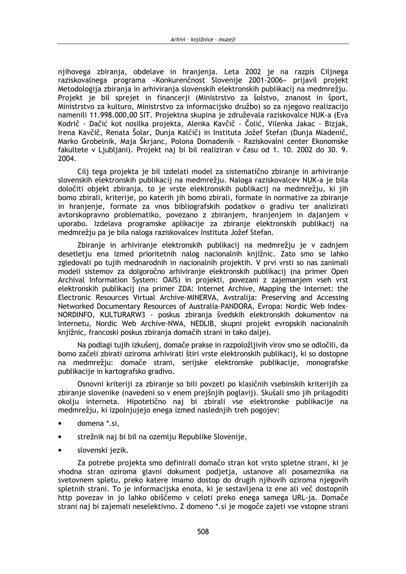niihovega zbirania, obdelave in hranienia. Leta 2002 je na razpis Cilinega ráziskovalnega programa »Konkurenčnost Slovenije 2001-2006« prijavil projekt Metodologija zbiranja in arhiviranja slovenskih elektronskih publikacij na medmrežiu. Projekt je bil sprejet in financerij (Ministrstvo za šolstvo, znanost in šport, Ministrstvo za kulturo, Ministrstvo za informacijsko družbo) so za njegovo realizacijo namenili 11.998.000,00 SIT. Projektna skupina je združevala raziskovalce NUK-a (Eva Kodrič - Dačić kot nosilka projekta, Alenka Kavčič - Čolić, Vilenka Jakac - Bizjak, Irena Kavčič, Renata Šolar, Dunja Kalčič) in Instituta Jožef Stefan (Dunja Mladenič, Marko Grobelnik, Maja Škrjanc, Polona Domadenik - Raziskovalni center Ekonomske fakultete v Ljubljani). Projekt naj bi bil realiziran v času od 1. 10. 2002 do 30. 9. 2004.

Cilj tega projekta je bil izdelati model za sistematično zbiranje in arhiviranje slovenskih elektronskih publikacij na medmrežju. Naloga raziskovalcev NUK-a je bila določiti objekt zbiranja, to je vrste elektronskih publikacij na medmrežju, ki jih bomo zbirali, kriterije, po katerih jih bomo zbirali, formate in normative za zbiranje in hranjenje, formate za vnos bibliografskih podatkov o gradivu ter analizirati avtorskopravno problematiko, povezano z zbiranjem, hranjenjem in dajanjem v uporabo. Izdelava programske aplikacije za zbiranje elektronskih publikacij na medmrežju pa je bila naloga raziskovalcev Instituta Jožef Stefan.

Zbiranje in arhiviranje elektronskih publikacij na medmrežju je v zadnjem desetletju ena izmed prioritetnih nalog nacionalnih knjižnic. Zato smo se lahko zgledovali po tujih mednarodnih in nacionalnih projektih. V prvi vrsti so nas zanimali modeli sistemov za dolgoročno arhiviranje elektronskih publikacij (na primer Open Archival Information System: OAIS) in projekti, povezani z zajemanjem vseh vrst elektronskih publikacij (na primer ZDA: Internet Archive, Mapping the Internet: the Electronic Resources Virtual Archive-MINERVA, Avstralija: Preserving and Accessing Networked Documentary Resources of Australia-PANDORA, Evropa: Nordic Web Index-NORDINFO, KULTURARW3 - poskus zbiranja švedskih elektronskih dokumentov na Internetu, Nordic Web Archive-NWA, NEDLIB, skupni projekt evropskih nacionalnih kniižnic, francoski poskus zbirania domačih strani in tako dalie).

Na podlagi tujih izkušenj, domače prakse in razpoložljivih virov smo se odločili, da bomo začeli zbirati oziroma arhivirati štiri vrste elektronskih publikacii, ki so dostopne na medmrežiu: domače strani, serijske elektronske publikacije, monografske publikacije in kartografsko gradivo.

Osnovni kriteriji za zbiranje so bili povzeti po klasičnih vsebinskih kriterijih za zbiranje slovenike (navedeni so v enem prejšnjih poglavij). Skušali smo jih prilagoditi okolju interneta. Hipotetično naj bi zbirali vse elektronske publikacije na medmrežju, ki izpolnjujejo enega izmed naslednjih treh pogojev:

- domena \*.si,
- strežnik naj bi bil na ozemlju Republike Slovenije,
- slovenski jezik.

Za potrebe projekta smo definirali domačo stran kot vrsto spletne strani, ki je vhodna stran oziroma glavni dokument podjetja, ustanove ali posameznika na svetovnem spletu, preko katere imamo dostop do drugih njihovih oziroma njegovih spletnih strani. To je informacijska enota, ki je sestavljena iz ene ali več dostopnih http povezav in jo lahko obiščemo v celoti preko enega samega URL-ja. Domače strani naj bi zajemali neselektivno. Z domeno \*.si je mogoče zajeti vse vstopne strani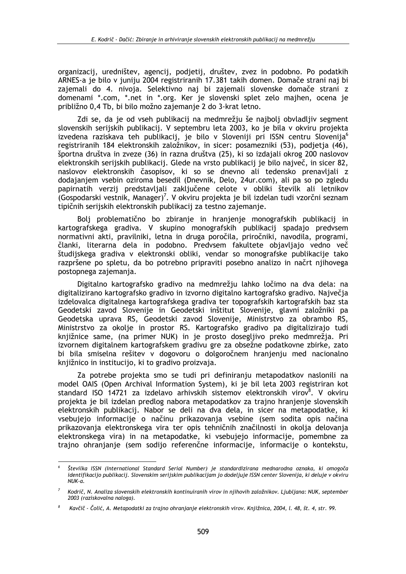organizacij, uredništev, agencij, podjetij, društev, zvez in podobno. Po podatkih ARNES-a je bilo v juniju 2004 registriranih 17.381 takih domen. Domače strani naj bi zajemali do 4. nivoja. Selektivno naj bi zajemali slovenske domače strani z domenami \*.com, \*.net in \*.org. Ker je slovenski splet zelo majhen, ocena je približno 0,4 Tb, bi bilo možno zajemanje 2 do 3-krat letno.

Zdi se, da je od vseh publikacij na medmrežju še najbolj obvladljiv segment slovenskih serijskih publikacij. V septembru leta 2003, ko je bila v okviru projekta izvedena raziskava teh publikacij, je bilo v Sloveniji pri ISSN centru Slovenija<sup>6</sup> registriranih 184 elektronskih založnikov, in sicer: posamezniki (53), podjetja (46), športna društva in zveze (36) in razna društva (25), ki so izdajali okrog 200 naslovov elektronskih serijskih publikacij. Glede na vrsto publikacij je bilo največ, in sicer 82, naslovov elektronskih časopisov, ki so se dnevno ali tedensko prenavljali z dodajanjem vsebin oziroma besedil (Dnevnik, Delo, 24ur.com), ali pa so po zgledu papirnatih verzij predstavljali zaključene celote v obliki številk ali letnikov (Gospodarski vestnik, Manager)<sup>7</sup>. V okviru projekta je bil izdelan tudi vzorčni seznam tipičnih serijskih elektronskih publikacij za testno zajemanje.

Bolj problematično bo zbiranje in hranjenje monografskih publikacij in kartografskega gradiva. V skupino monografskih publikacij spadajo predvsem normativni akti, pravilniki, letna in druga poročila, priročniki, navodila, programi, članki, literarna dela in podobno. Predvsem fakultete objavljajo vedno več študijskega gradiva v elektronski obliki, vendar so monografske publikacije tako razpršene po spletu, da bo potrebno pripraviti posebno analizo in načrt njihovega postopnega zajemanja.

Digitalno kartografsko gradivo na medmrežju lahko ločimo na dva dela: na digitalizirano kartografsko gradivo in izvorno digitalno kartografsko gradivo. Naivečia izdelovalca digitalnega kartografskega gradiva ter topografskih kartografskih baz sta Geodetski zavod Slovenije in Geodetski inštitut Slovenije, glavni založniki pa Geodetska uprava RS, Geodetski zavod Slovenije, Ministrstvo za obrambo RS, Ministrstvo za okolje in prostor RS. Kartografsko gradivo pa digitalizirajo tudi kniižnice same, (na primer NUK) in je prosto doseglijvo preko medmrežia. Pri izvornem digitalnem kartografskem gradivu gre za obsežne podatkovne zbirke, zato bi bila smiselna rešitev v dogovoru o dolgoročnem hranjenju med nacionalno kniižnico in institucijo, ki to gradivo proizvaja.

Za potrebe projekta smo se tudi pri definiranju metapodatkov naslonili na model OAIS (Open Archival Information System), ki je bil leta 2003 registriran kot standard ISO 14721 za izdelavo arhivskih sistemov elektronskih virov<sup>8</sup>. V okviru projekta je bil izdelan predlog nabora metapodatkov za trajno hranjenje slovenskih elektronskih publikacij. Nabor se deli na dva dela, in sicer na metapodatke, ki vsebujejo informacije o načinu prikazovanja vsebine (sem sodita opis načina prikazovanja elektronskega vira ter opis tehničnih značilnosti in okolja delovanja elektronskega vira) in na metapodatke, ki vsebujejo informacije, pomembne za trajno ohranjanje (sem sodijo referenčne informacije, informacije o kontekstu,

Številka ISSN (International Standard Serial Number) je standardizirana mednarodna oznaka, ki omogoča identifikacijo publikacij. Slovenskim serijskim publikacijam jo dodeljuje ISSN center Slovenija, ki deluje v okviru  $NIIK-a$ 

Kodrič, N. Analiza slovenskih elektronskih kontinuiranih virov in njihovih založnikov. Ljubljana: NUK, september 2003 (raziskovalna naloga).

Kavčič - Čolić, A. Metapodatki za trajno ohranjanje elektronskih virov. Knjižnica, 2004, l. 48, št. 4, str. 99.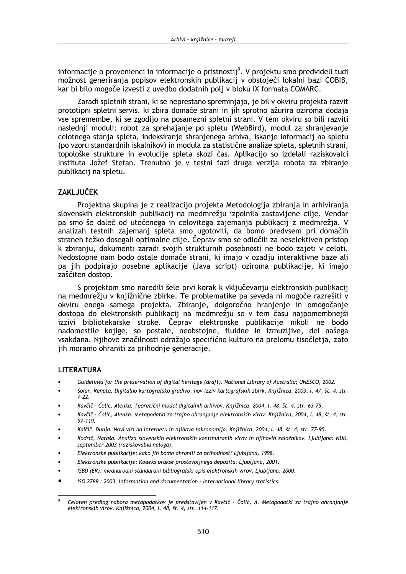informacije o provenienci in informacije o pristnosti)<sup>9</sup>. V projektu smo predvideli tudi možnost generiranja popisov elektronskih publikacij v obstoječi lokalni bazi COBIB. kar bi bilo mogoče izvesti z uvedbo dodatnih poli v bloku IX formata COMARC.

Zaradi spletnih strani, ki se neprestano spreminiajo, je bil v okviru projekta razvit prototipni spletni servis, ki zbira domače strani in jih sprotno ažurira oziroma dodaja vse spremembe, ki se zgodijo na posamezni spletni strani. V tem okviru so bili razviti naslednji moduli: robot za sprehajanje po spletu (WebBird), modul za shranjevanje celotnega stanja spleta, indeksiranje shranjenega arhiva, iskanje informacij na spletu (po vzoru standardnih iskalnikov) in modula za statistične analize spleta, spletnih strani, topološke strukture in evolucije spleta skozi čas. Aplikacijo so izdelali raziskovalci Instituta Jožef Stefan. Trenutno je v testni fazi druga verzija robota za zbiranje publikacij na spletu.

# **ZAKLJUČEK**

Projektna skupina je z realizacijo projekta Metodologija zbiranja in arhiviranja slovenskih elektronskih publikacij na medmrežiu izpolnila zastavljene cilje. Vendar pa smo še daleč od utečenega in celovitega zajemania publikacii z medmrežia. V analizah testnih zajemani spleta smo ugotovili, da bomo predysem pri domačih straneh težko dosegali optimalne cilje. Čeprav smo se odločili za neselektiven pristop k zbiranju, dokumenti zaradi svojih strukturnih posebnosti ne bodo zajeti v celoti. Nedostopne nam bodo ostale domače strani, ki imajo v ozadju interaktivne baze ali pa jih podpirajo posebne aplikacije (Java script) oziroma publikacije, ki imajo zaščiten dostop.

S projektom smo naredili šele prvi korak k vključevanju elektronskih publikacij na medmrežju v knjižnične zbirke. Te problematike pa seveda ni mogoče razrešiti v okviru enega samega projekta. Zbiranje, dolgoročno hranjenje in omogočanje dostopa do elektronskih publikacij na medmrežju so v tem času najpomembnejši izzivi bibliotekarske stroke. Čeprav elektronske publikacije nikoli ne bodo nadomestile knjige, so postale, neobstojne, fluidne in izmuzljive, del našega vsakdana. Nijhove značilnosti odražajo specifično kulturo na prelomu tisočletja, zato jih moramo ohraniti za prihodnje generacije.

# **LITERATURA**

- Guidelines for the preservation of digital heritage (draft). National Library of Australia; UNESCO, 2002.
- Šolar, Renata. Digitalno kartografsko gradivo, nov izziv kartografskih zbirk. Knjižnica, 2003, l. 47, št. 4, str.  $7 - 22.$
- Kavčič Čolić, Alenka. Teoretični model digitalnih arhivov. Knjižnica, 2004, l. 48, št. 4, str. 63-75.
- Kavčič Čolić, Alenka. Metapodatki za trajno ohranjanje elektronskih virov. Knjižnica, 2004, l. 48, št. 4, str. 97-119.
- Kalčič, Dunia, Novi viri na internetu in niihova taksonomija, Kniižnica, 2004, l. 48, št. 4, str. 77-95.
- Kodrič, Nataša, Analiza slovenskih elektronskih kontinuiranih virov in niihovih založnikov, Liubliana; NUK, september 2003 (raziskovalna naloga).
- Elektronske publikacije: kako jih bomo ohranili za prihodnost? Ljubljana, 1998.
- Elektronske publikacije: Kodeks prakse prostovoljnega depozita. Ljubljana, 2001.
- ISBD (ER): mednarodni standardni bibliografski opis elektronskih virov. Ljubljana, 2000.
- ISO 2789: 2003, Information and documentation International library statistics.

Celoten predlog nabora metapodatkov je predstavljen v Kavčič - Čolić, A. Metapodatki za trajno ohranjanje elektronskih virov. Knjižnica, 2004, l. 48, št. 4, str. 114-117.